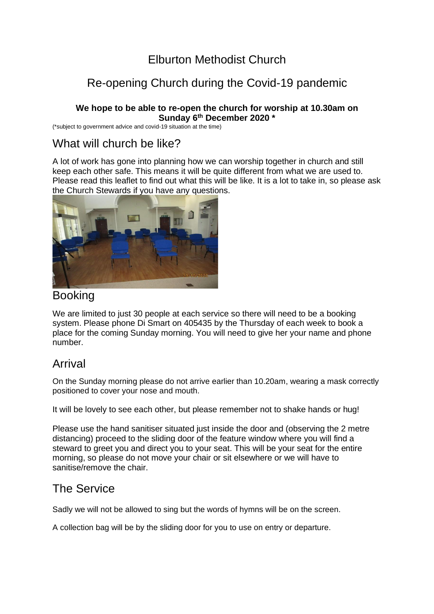## Elburton Methodist Church

# Re-opening Church during the Covid-19 pandemic

#### **We hope to be able to re-open the church for worship at 10.30am on Sunday 6th December 2020 \***

(\*subject to government advice and covid-19 situation at the time)

## What will church be like?

A lot of work has gone into planning how we can worship together in church and still keep each other safe. This means it will be quite different from what we are used to. Please read this leaflet to find out what this will be like. It is a lot to take in, so please ask the Church Stewards if you have any questions.



### Booking

We are limited to just 30 people at each service so there will need to be a booking system. Please phone Di Smart on 405435 by the Thursday of each week to book a place for the coming Sunday morning. You will need to give her your name and phone number.

### Arrival

On the Sunday morning please do not arrive earlier than 10.20am, wearing a mask correctly positioned to cover your nose and mouth.

It will be lovely to see each other, but please remember not to shake hands or hug!

Please use the hand sanitiser situated just inside the door and (observing the 2 metre distancing) proceed to the sliding door of the feature window where you will find a steward to greet you and direct you to your seat. This will be your seat for the entire morning, so please do not move your chair or sit elsewhere or we will have to sanitise/remove the chair.

### The Service

Sadly we will not be allowed to sing but the words of hymns will be on the screen.

A collection bag will be by the sliding door for you to use on entry or departure.